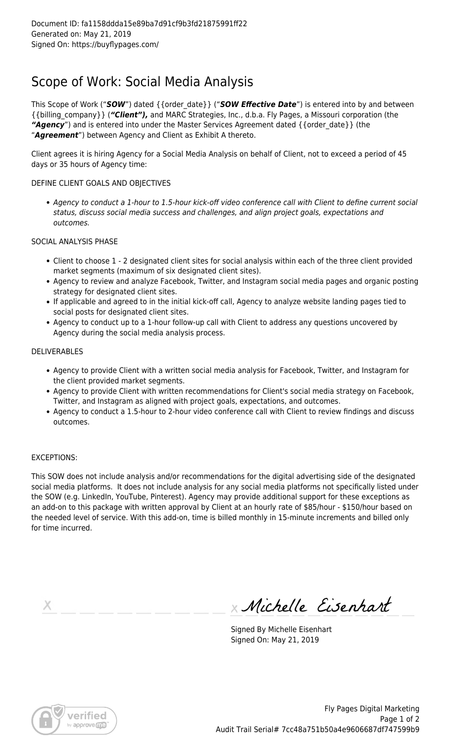## Scope of Work: Social Media Analysis

This Scope of Work ("*SOW*") dated {{order\_date}} ("*SOW Effective Date*") is entered into by and between {{billing\_company}} (*"Client"),* and MARC Strategies, Inc., d.b.a. Fly Pages, a Missouri corporation (the *"Agency*") and is entered into under the Master Services Agreement dated {{order\_date}} (the "*Agreement*") between Agency and Client as Exhibit A thereto.

Client agrees it is hiring Agency for a Social Media Analysis on behalf of Client, not to exceed a period of 45 days or 35 hours of Agency time:

#### DEFINE CLIENT GOALS AND OBJECTIVES

Agency to conduct a 1-hour to 1.5-hour kick-off video conference call with Client to define current social status, discuss social media success and challenges, and align project goals, expectations and outcomes.

#### SOCIAL ANALYSIS PHASE

- Client to choose 1 2 designated client sites for social analysis within each of the three client provided market segments (maximum of six designated client sites).
- Agency to review and analyze Facebook, Twitter, and Instagram social media pages and organic posting strategy for designated client sites.
- If applicable and agreed to in the initial kick-off call, Agency to analyze website landing pages tied to social posts for designated client sites.
- Agency to conduct up to a 1-hour follow-up call with Client to address any questions uncovered by Agency during the social media analysis process.

#### **DELIVERABLES**

- Agency to provide Client with a written social media analysis for Facebook, Twitter, and Instagram for the client provided market segments.
- Agency to provide Client with written recommendations for Client's social media strategy on Facebook, Twitter, and Instagram as aligned with project goals, expectations, and outcomes.
- Agency to conduct a 1.5-hour to 2-hour video conference call with Client to review findings and discuss outcomes.

### EXCEPTIONS:

This SOW does not include analysis and/or recommendations for the digital advertising side of the designated social media platforms. It does not include analysis for any social media platforms not specifically listed under the SOW (e.g. LinkedIn, YouTube, Pinterest). Agency may provide additional support for these exceptions as an add-on to this package with written approval by Client at an hourly rate of \$85/hour - \$150/hour based on the needed level of service. With this add-on, time is billed monthly in 15-minute increments and billed only for time incurred.

х

Michelle Eisenhart

Signed By Michelle Eisenhart Signed On: May 21, 2019